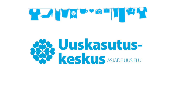

# **BRANDELLISTER STANDELLISTER**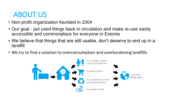## ABOUT US

- Non-profit organization founded in 2004
- Our goal put used things back in circulation and make re-use easily accessible and commonplace for everyone in Estonia
- We believe that things that are still usable, don't deserve to end up in a landfill
- We try to find a solution to overconsumption and overburdening landfills

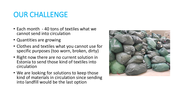## OUR CHALLENGE

- Each month 40 tons of textiles what we cannot send into circulation
- Quantities are growing
- Clothes and textiles what you cannot use for specific purposes (too worn, broken, dirty)
- Right now there are no current solution in Estonia to send those kind of textiles into circulation
- We are looking for solutions to keep those kind of materials in circulation since sending into landfill would be the last option

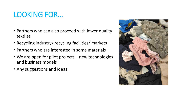### LOOKING FOR…

- Partners who can also proceed with lower quality textiles
- Recycling industry/ recycling facilities/ markets
- Partners who are interested in some materials
- We are open for pilot projects new technologies and business models
- Any suggestions and ideas

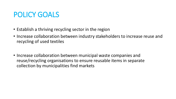### POLICY GOALS

- Establish a thriving recycling sector in the region
- Increase collaboration between industry stakeholders to increase reuse and recycling of used textiles
- Increase collaboration between municipal waste companies and reuse/recycling organisations to ensure reusable items in separate collection by municipalities find markets